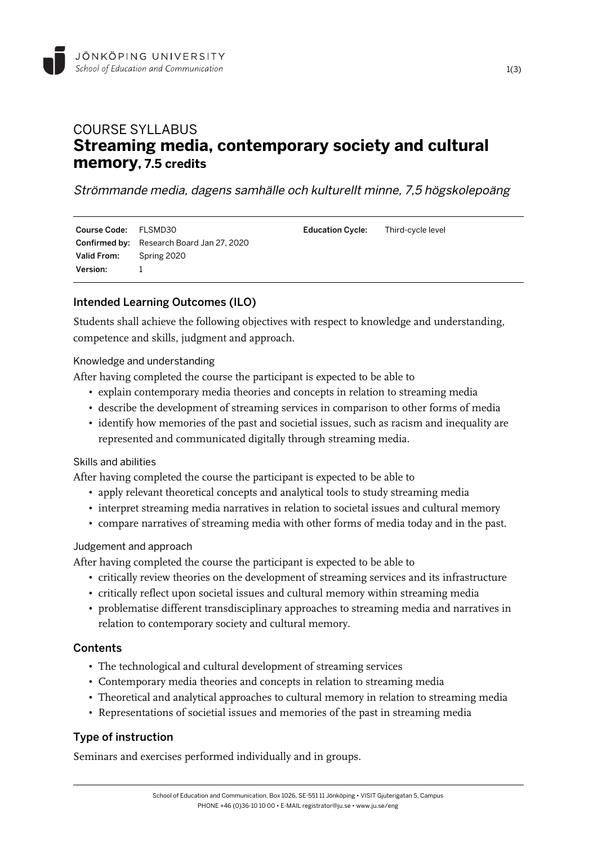

# COURSE SYLLABUS **Streaming media, contemporary society and cultural memory, 7.5 credits**

Strömmande media, dagens samhälle och kulturellt minne, 7,5 högskolepoäng

| Course Code: FLSMD30    |                                                  | <b>Education Cycle:</b> | Third-cycle level |
|-------------------------|--------------------------------------------------|-------------------------|-------------------|
|                         | <b>Confirmed by:</b> Research Board Jan 27, 2020 |                         |                   |
| Valid From: Spring 2020 |                                                  |                         |                   |
| Version:                |                                                  |                         |                   |

# Intended Learning Outcomes (ILO)

Students shall achieve the following objectives with respect to knowledge and understanding, competence and skills, judgment and approach.

Knowledge and understanding

After having completed the course the participant is expected to be able to

- explain contemporary media theories and concepts in relation to streaming media
- describe the development of streaming services in comparison to other forms of media
- identify how memories of the past and societial issues, such as racism and inequality are represented and communicated digitally through streaming media.

#### Skills and abilities

After having completed the course the participant is expected to be able to

- apply relevant theoretical concepts and analytical tools to study streaming media
- interpret streaming media narratives in relation to societal issues and cultural memory
- compare narratives of streaming media with other forms of media today and in the past.

#### Judgement and approach

After having completed the course the participant is expected to be able to

- critically review theories on the development of streaming services and its infrastructure
- critically reflect upon societal issues and cultural memory within streaming media
- problematise different transdisciplinary approaches to streaming media and narratives in relation to contemporary society and cultural memory.

# **Contents**

- The technological and cultural development of streaming services
- Contemporary media theories and concepts in relation to streaming media
- Theoretical and analytical approaches to cultural memory in relation to streaming media
- Representations of societial issues and memories of the past in streaming media

# Type of instruction

Seminars and exercises performed individually and in groups.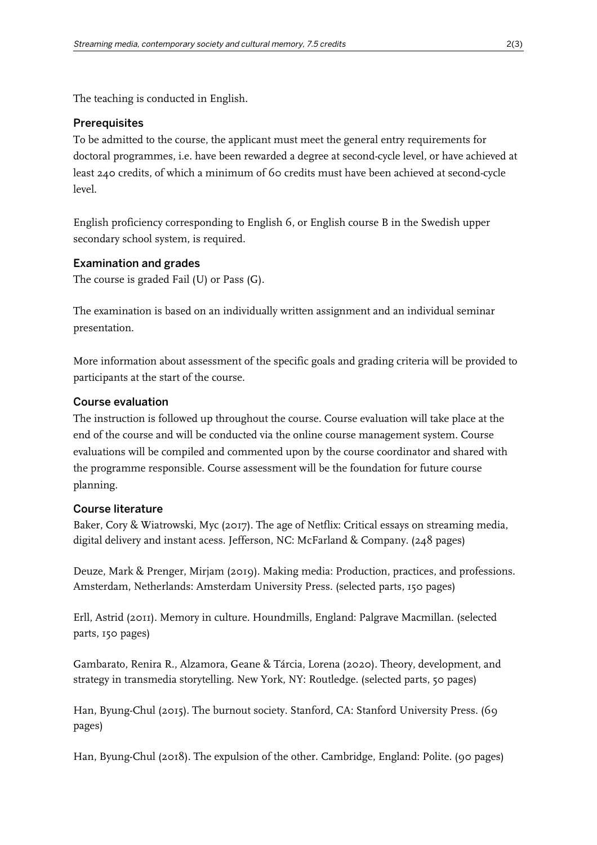The teaching is conducted in English.

## **Prerequisites**

To be admitted to the course, the applicant must meet the general entry requirements for doctoral programmes, i.e. have been rewarded a degree at second-cycle level, or have achieved at least 240 credits, of which a minimum of 60 credits must have been achieved at second-cycle level.

English proficiency corresponding to English 6, or English course B in the Swedish upper secondary school system, is required.

# Examination and grades

The course is graded Fail (U) or Pass (G).

The examination is based on an individually written assignment and an individual seminar presentation.

More information about assessment of the specific goals and grading criteria will be provided to participants at the start of the course.

# Course evaluation

The instruction is followed up throughout the course. Course evaluation will take place at the end of the course and will be conducted via the online course management system. Course evaluations will be compiled and commented upon by the course coordinator and shared with the programme responsible. Course assessment will be the foundation for future course planning.

# Course literature

Baker, Cory & Wiatrowski, Myc (2017). The age of Netflix: Critical essays on streaming media, digital delivery and instant acess. Jefferson, NC: McFarland & Company. (248 pages)

Deuze, Mark & Prenger, Mirjam (2019). Making media: Production, practices, and professions. Amsterdam, Netherlands: Amsterdam University Press. (selected parts, 150 pages)

Erll, Astrid (2011). Memory in culture. Houndmills, England: Palgrave Macmillan. (selected parts, 150 pages)

Gambarato, Renira R., Alzamora, Geane & Tárcia, Lorena (2020). Theory, development, and strategy in transmedia storytelling. New York, NY: Routledge. (selected parts, 50 pages)

Han, Byung-Chul (2015). The burnout society. Stanford, CA: Stanford University Press. (69 pages)

Han, Byung-Chul (2018). The expulsion of the other. Cambridge, England: Polite. (90 pages)